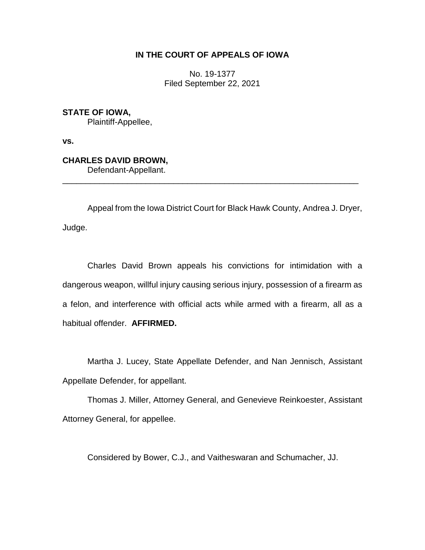## **IN THE COURT OF APPEALS OF IOWA**

No. 19-1377 Filed September 22, 2021

**STATE OF IOWA,** Plaintiff-Appellee,

**vs.**

**CHARLES DAVID BROWN,**

Defendant-Appellant. \_\_\_\_\_\_\_\_\_\_\_\_\_\_\_\_\_\_\_\_\_\_\_\_\_\_\_\_\_\_\_\_\_\_\_\_\_\_\_\_\_\_\_\_\_\_\_\_\_\_\_\_\_\_\_\_\_\_\_\_\_\_\_\_

Appeal from the Iowa District Court for Black Hawk County, Andrea J. Dryer, Judge.

Charles David Brown appeals his convictions for intimidation with a dangerous weapon, willful injury causing serious injury, possession of a firearm as a felon, and interference with official acts while armed with a firearm, all as a habitual offender. **AFFIRMED.**

Martha J. Lucey, State Appellate Defender, and Nan Jennisch, Assistant Appellate Defender, for appellant.

Thomas J. Miller, Attorney General, and Genevieve Reinkoester, Assistant Attorney General, for appellee.

Considered by Bower, C.J., and Vaitheswaran and Schumacher, JJ.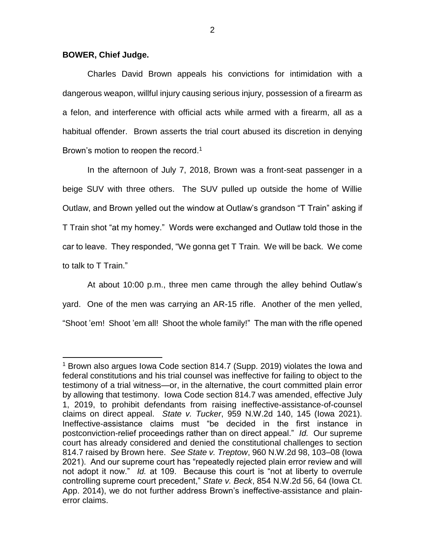## **BOWER, Chief Judge.**

 $\overline{a}$ 

Charles David Brown appeals his convictions for intimidation with a dangerous weapon, willful injury causing serious injury, possession of a firearm as a felon, and interference with official acts while armed with a firearm, all as a habitual offender. Brown asserts the trial court abused its discretion in denying Brown's motion to reopen the record.<sup>1</sup>

In the afternoon of July 7, 2018, Brown was a front-seat passenger in a beige SUV with three others. The SUV pulled up outside the home of Willie Outlaw, and Brown yelled out the window at Outlaw's grandson "T Train" asking if T Train shot "at my homey." Words were exchanged and Outlaw told those in the car to leave. They responded, "We gonna get T Train. We will be back. We come to talk to T Train."

At about 10:00 p.m., three men came through the alley behind Outlaw's yard. One of the men was carrying an AR-15 rifle. Another of the men yelled, "Shoot 'em! Shoot 'em all! Shoot the whole family!" The man with the rifle opened

<sup>1</sup> Brown also argues Iowa Code section 814.7 (Supp. 2019) violates the Iowa and federal constitutions and his trial counsel was ineffective for failing to object to the testimony of a trial witness—or, in the alternative, the court committed plain error by allowing that testimony. Iowa Code section 814.7 was amended, effective July 1, 2019, to prohibit defendants from raising ineffective-assistance-of-counsel claims on direct appeal. *State v. Tucker*, 959 N.W.2d 140, 145 (Iowa 2021). Ineffective-assistance claims must "be decided in the first instance in postconviction-relief proceedings rather than on direct appeal." *Id.* Our supreme court has already considered and denied the constitutional challenges to section 814.7 raised by Brown here. *See State v. Treptow*, 960 N.W.2d 98, 103–08 (Iowa 2021). And our supreme court has "repeatedly rejected plain error review and will not adopt it now." *Id.* at 109. Because this court is "not at liberty to overrule controlling supreme court precedent," *State v. Beck*, 854 N.W.2d 56, 64 (Iowa Ct. App. 2014), we do not further address Brown's ineffective-assistance and plainerror claims.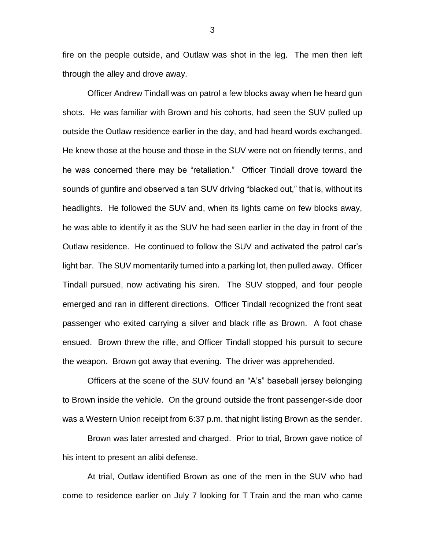fire on the people outside, and Outlaw was shot in the leg. The men then left through the alley and drove away.

Officer Andrew Tindall was on patrol a few blocks away when he heard gun shots. He was familiar with Brown and his cohorts, had seen the SUV pulled up outside the Outlaw residence earlier in the day, and had heard words exchanged. He knew those at the house and those in the SUV were not on friendly terms, and he was concerned there may be "retaliation." Officer Tindall drove toward the sounds of gunfire and observed a tan SUV driving "blacked out," that is, without its headlights. He followed the SUV and, when its lights came on few blocks away, he was able to identify it as the SUV he had seen earlier in the day in front of the Outlaw residence. He continued to follow the SUV and activated the patrol car's light bar. The SUV momentarily turned into a parking lot, then pulled away. Officer Tindall pursued, now activating his siren. The SUV stopped, and four people emerged and ran in different directions. Officer Tindall recognized the front seat passenger who exited carrying a silver and black rifle as Brown. A foot chase ensued. Brown threw the rifle, and Officer Tindall stopped his pursuit to secure the weapon. Brown got away that evening. The driver was apprehended.

Officers at the scene of the SUV found an "A's" baseball jersey belonging to Brown inside the vehicle. On the ground outside the front passenger-side door was a Western Union receipt from 6:37 p.m. that night listing Brown as the sender.

Brown was later arrested and charged. Prior to trial, Brown gave notice of his intent to present an alibi defense.

At trial, Outlaw identified Brown as one of the men in the SUV who had come to residence earlier on July 7 looking for T Train and the man who came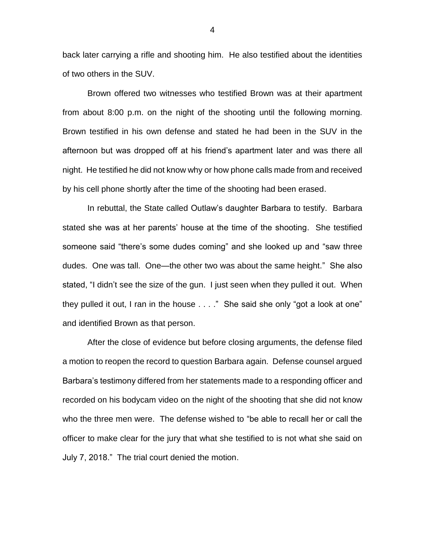back later carrying a rifle and shooting him. He also testified about the identities of two others in the SUV.

Brown offered two witnesses who testified Brown was at their apartment from about 8:00 p.m. on the night of the shooting until the following morning. Brown testified in his own defense and stated he had been in the SUV in the afternoon but was dropped off at his friend's apartment later and was there all night. He testified he did not know why or how phone calls made from and received by his cell phone shortly after the time of the shooting had been erased.

In rebuttal, the State called Outlaw's daughter Barbara to testify. Barbara stated she was at her parents' house at the time of the shooting. She testified someone said "there's some dudes coming" and she looked up and "saw three dudes. One was tall. One—the other two was about the same height." She also stated, "I didn't see the size of the gun. I just seen when they pulled it out. When they pulled it out, I ran in the house . . . ." She said she only "got a look at one" and identified Brown as that person.

After the close of evidence but before closing arguments, the defense filed a motion to reopen the record to question Barbara again. Defense counsel argued Barbara's testimony differed from her statements made to a responding officer and recorded on his bodycam video on the night of the shooting that she did not know who the three men were. The defense wished to "be able to recall her or call the officer to make clear for the jury that what she testified to is not what she said on July 7, 2018." The trial court denied the motion.

4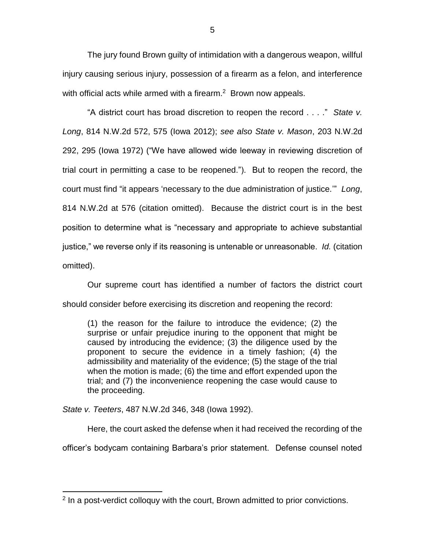The jury found Brown guilty of intimidation with a dangerous weapon, willful injury causing serious injury, possession of a firearm as a felon, and interference with official acts while armed with a firearm. $2$  Brown now appeals.

"A district court has broad discretion to reopen the record . . . ." *State v. Long*, 814 N.W.2d 572, 575 (Iowa 2012); *see also State v. Mason*, 203 N.W.2d 292, 295 (Iowa 1972) ("We have allowed wide leeway in reviewing discretion of trial court in permitting a case to be reopened."). But to reopen the record, the court must find "it appears 'necessary to the due administration of justice.'" *Long*, 814 N.W.2d at 576 (citation omitted). Because the district court is in the best position to determine what is "necessary and appropriate to achieve substantial justice," we reverse only if its reasoning is untenable or unreasonable. *Id.* (citation omitted).

Our supreme court has identified a number of factors the district court should consider before exercising its discretion and reopening the record:

(1) the reason for the failure to introduce the evidence; (2) the surprise or unfair prejudice inuring to the opponent that might be caused by introducing the evidence; (3) the diligence used by the proponent to secure the evidence in a timely fashion; (4) the admissibility and materiality of the evidence; (5) the stage of the trial when the motion is made; (6) the time and effort expended upon the trial; and (7) the inconvenience reopening the case would cause to the proceeding.

*State v. Teeters*, 487 N.W.2d 346, 348 (Iowa 1992).

 $\overline{a}$ 

Here, the court asked the defense when it had received the recording of the officer's bodycam containing Barbara's prior statement. Defense counsel noted

<sup>&</sup>lt;sup>2</sup> In a post-verdict colloquy with the court, Brown admitted to prior convictions.